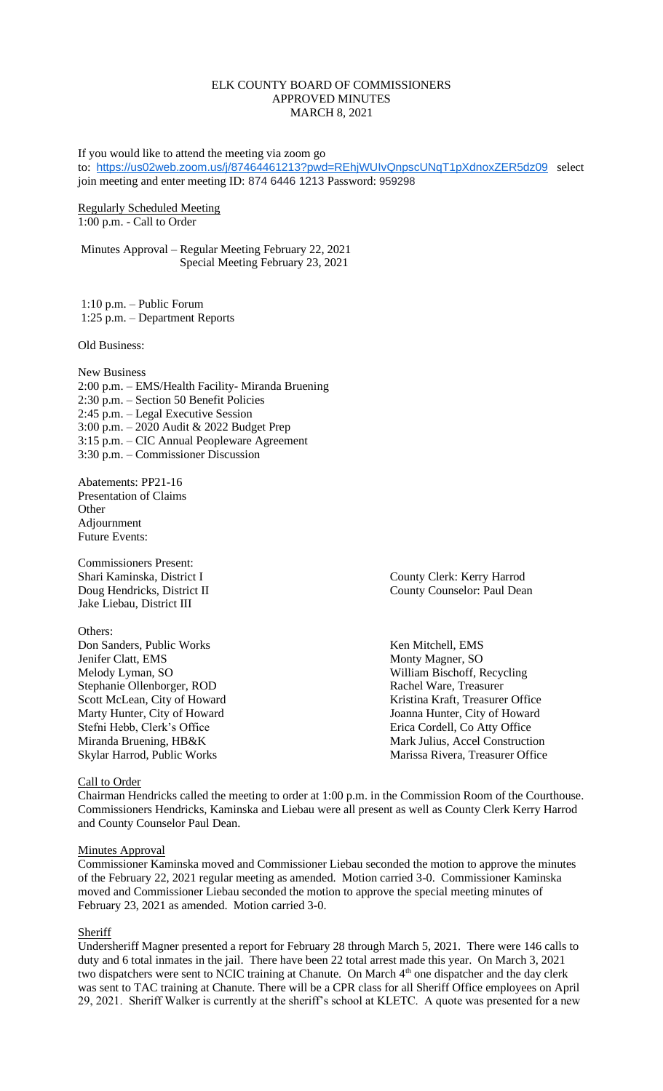### ELK COUNTY BOARD OF COMMISSIONERS APPROVED MINUTES MARCH 8, 2021

If you would like to attend the meeting via zoom go to: <https://us02web.zoom.us/j/87464461213?pwd=REhjWUIvQnpscUNqT1pXdnoxZER5dz09> select join meeting and enter meeting ID: 874 6446 1213 Password: 959298

### Regularly Scheduled Meeting 1:00 p.m. - Call to Order

Minutes Approval – Regular Meeting February 22, 2021 Special Meeting February 23, 2021

1:10 p.m. – Public Forum 1:25 p.m. – Department Reports

Old Business:

New Business 2:00 p.m. – EMS/Health Facility- Miranda Bruening 2:30 p.m. – Section 50 Benefit Policies 2:45 p.m. – Legal Executive Session 3:00 p.m. – 2020 Audit & 2022 Budget Prep 3:15 p.m. – CIC Annual Peopleware Agreement 3:30 p.m. – Commissioner Discussion

Abatements: PP21-16 Presentation of Claims **Other** Adjournment Future Events:

Commissioners Present: Shari Kaminska, District I County Clerk: Kerry Harrod Jake Liebau, District III

Others: Don Sanders, Public Works Ken Mitchell, EMS Jenifer Clatt, EMS Monty Magner, SO Melody Lyman, SO William Bischoff, Recycling Scott McLean, City of Howard Stefni Hebb, Clerk's Office **Erica Cordell, Co Atty Office** Erica Cordell, Co Atty Office

Doug Hendricks, District II County Counselor: Paul Dean

Stephanie Ollenborger, ROD Rachel Ware, Treasurer<br>
Scott McLean, City of Howard Kristina Kraft, Treasurer Office Marty Hunter, City of Howard Joanna Hunter, City of Howard Miranda Bruening, HB&K Mark Julius, Accel Construction Skylar Harrod, Public Works Marissa Rivera, Treasurer Office

## Call to Order

Chairman Hendricks called the meeting to order at 1:00 p.m. in the Commission Room of the Courthouse. Commissioners Hendricks, Kaminska and Liebau were all present as well as County Clerk Kerry Harrod and County Counselor Paul Dean.

### **Minutes Approval**

Commissioner Kaminska moved and Commissioner Liebau seconded the motion to approve the minutes of the February 22, 2021 regular meeting as amended. Motion carried 3-0. Commissioner Kaminska moved and Commissioner Liebau seconded the motion to approve the special meeting minutes of February 23, 2021 as amended. Motion carried 3-0.

#### **Sheriff**

Undersheriff Magner presented a report for February 28 through March 5, 2021. There were 146 calls to duty and 6 total inmates in the jail. There have been 22 total arrest made this year. On March 3, 2021 two dispatchers were sent to NCIC training at Chanute. On March 4<sup>th</sup> one dispatcher and the day clerk was sent to TAC training at Chanute. There will be a CPR class for all Sheriff Office employees on April 29, 2021. Sheriff Walker is currently at the sheriff's school at KLETC. A quote was presented for a new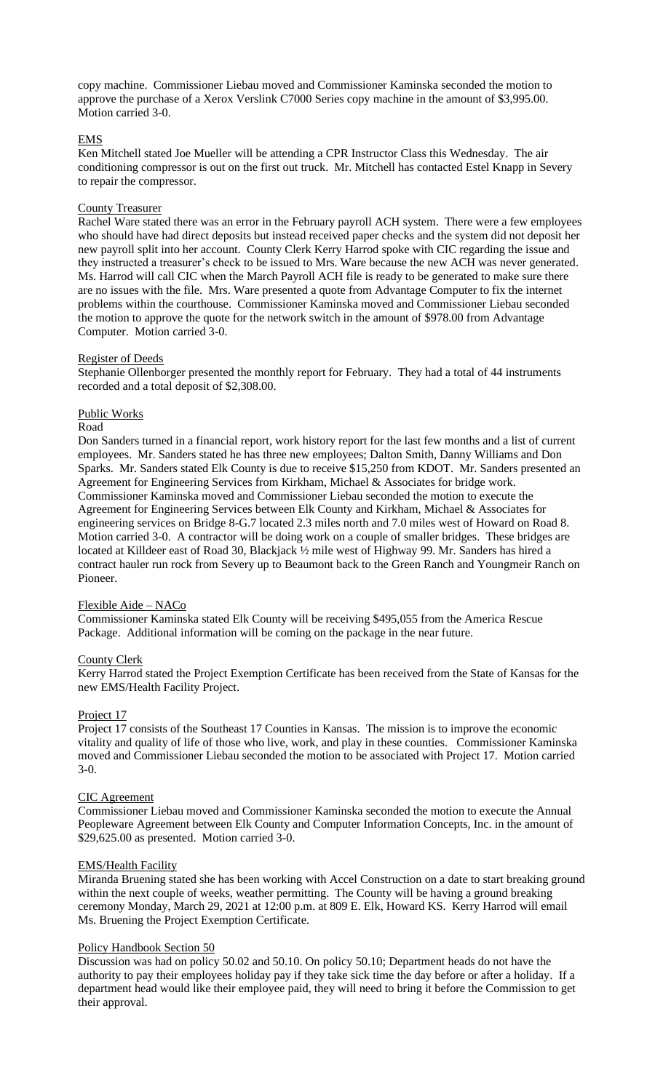copy machine. Commissioner Liebau moved and Commissioner Kaminska seconded the motion to approve the purchase of a Xerox Verslink C7000 Series copy machine in the amount of \$3,995.00. Motion carried 3-0.

## EMS

Ken Mitchell stated Joe Mueller will be attending a CPR Instructor Class this Wednesday. The air conditioning compressor is out on the first out truck. Mr. Mitchell has contacted Estel Knapp in Severy to repair the compressor.

### County Treasurer

Rachel Ware stated there was an error in the February payroll ACH system. There were a few employees who should have had direct deposits but instead received paper checks and the system did not deposit her new payroll split into her account. County Clerk Kerry Harrod spoke with CIC regarding the issue and they instructed a treasurer's check to be issued to Mrs. Ware because the new ACH was never generated. Ms. Harrod will call CIC when the March Payroll ACH file is ready to be generated to make sure there are no issues with the file. Mrs. Ware presented a quote from Advantage Computer to fix the internet problems within the courthouse. Commissioner Kaminska moved and Commissioner Liebau seconded the motion to approve the quote for the network switch in the amount of \$978.00 from Advantage Computer. Motion carried 3-0.

### Register of Deeds

Stephanie Ollenborger presented the monthly report for February. They had a total of 44 instruments recorded and a total deposit of \$2,308.00.

## Public Works

#### Road

Don Sanders turned in a financial report, work history report for the last few months and a list of current employees. Mr. Sanders stated he has three new employees; Dalton Smith, Danny Williams and Don Sparks. Mr. Sanders stated Elk County is due to receive \$15,250 from KDOT. Mr. Sanders presented an Agreement for Engineering Services from Kirkham, Michael & Associates for bridge work. Commissioner Kaminska moved and Commissioner Liebau seconded the motion to execute the Agreement for Engineering Services between Elk County and Kirkham, Michael & Associates for engineering services on Bridge 8-G.7 located 2.3 miles north and 7.0 miles west of Howard on Road 8. Motion carried 3-0. A contractor will be doing work on a couple of smaller bridges. These bridges are located at Killdeer east of Road 30, Blackjack ½ mile west of Highway 99. Mr. Sanders has hired a contract hauler run rock from Severy up to Beaumont back to the Green Ranch and Youngmeir Ranch on Pioneer.

#### Flexible Aide – NACo

Commissioner Kaminska stated Elk County will be receiving \$495,055 from the America Rescue Package. Additional information will be coming on the package in the near future.

## County Clerk

Kerry Harrod stated the Project Exemption Certificate has been received from the State of Kansas for the new EMS/Health Facility Project.

#### Project 17

Project 17 consists of the Southeast 17 Counties in Kansas. The mission is to improve the economic vitality and quality of life of those who live, work, and play in these counties. Commissioner Kaminska moved and Commissioner Liebau seconded the motion to be associated with Project 17. Motion carried 3-0.

### CIC Agreement

Commissioner Liebau moved and Commissioner Kaminska seconded the motion to execute the Annual Peopleware Agreement between Elk County and Computer Information Concepts, Inc. in the amount of \$29,625.00 as presented. Motion carried 3-0.

## EMS/Health Facility

Miranda Bruening stated she has been working with Accel Construction on a date to start breaking ground within the next couple of weeks, weather permitting. The County will be having a ground breaking ceremony Monday, March 29, 2021 at 12:00 p.m. at 809 E. Elk, Howard KS. Kerry Harrod will email Ms. Bruening the Project Exemption Certificate.

## Policy Handbook Section 50

Discussion was had on policy 50.02 and 50.10. On policy 50.10; Department heads do not have the authority to pay their employees holiday pay if they take sick time the day before or after a holiday. If a department head would like their employee paid, they will need to bring it before the Commission to get their approval.